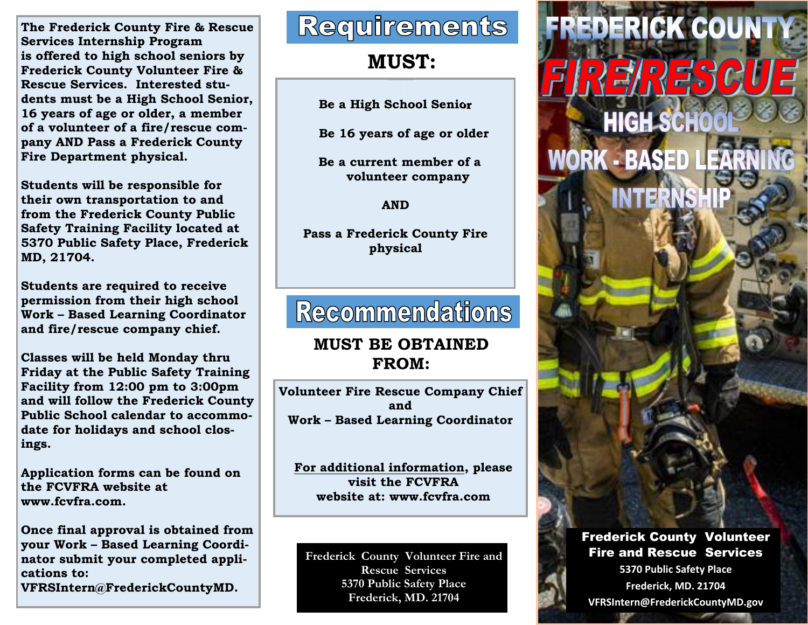**The Frederick County Fire & Rescue Services Internship Program is offered to high school seniors by Frederick County Volunteer Fire & Rescue Services. Interested students must be a High School Senior, 16 years of age or older, a member of a volunteer of a fire/rescue company AND Pass a Frederick County Fire Department physical.** 

**Students will be responsible for their own transportation to and from the Frederick County Public Safety Training Facility located at 5370 Public Safety Place, Frederick MD, 21704.** 

**Students are required to receive permission from their high school Work – Based Learning Coordinator and fire/rescue company chief.** 

**Classes will be held Monday thru Friday at the Public Safety Training Facility from 12:00 pm to 3:00pm and will follow the Frederick County Public School calendar to accommodate for holidays and school closings.** 

**Application forms can be found on the FCVFRA website at www.fcvfra.com.** 

**Once final approval is obtained from your Work – Based Learning Coordinator submit your completed applications to:** 

**VFRSIntern@FrederickCountyMD.** 

# **Requirements**

**MUST:** 

**Be a High School Senior**

 **Be 16 years of age or older** 

 **Be a current member of a volunteer company** 

**AND** 

**Pass a Frederick County Fire physical** 

# **Recommendations**

#### **MUST BE OBTAINED FROM:**

**Volunteer Fire Rescue Company Chief and Work – Based Learning Coordinator** 

**For additional information, please visit the FCVFRA website at: www.fcvfra.com** 

**Frederick County Volunteer Fire and Rescue Services 5370 Public Safety Place Frederick, MD. 21704** 



Frederick County Volunteer Fire and Rescue Services **5370 Public Safety Place Frederick, MD. 21704 VFRSIntern@FrederickCountyMD.gov**